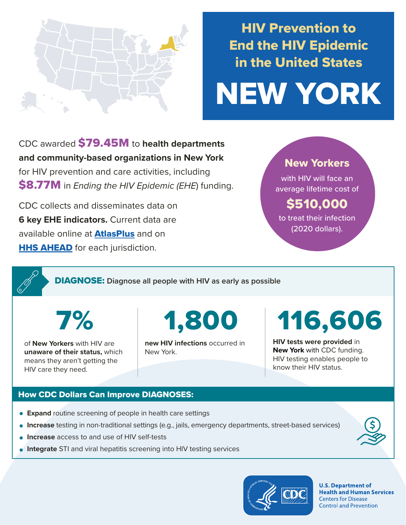

## HIV Prevention to End the HIV Epidemic in the United States

# NEW YORK

CDC awarded \$79.45M to **health departments and community-based organizations in New York**  for HIV prevention and care activities, including \$8.77M in *Ending the HIV Epidemic (EHE*) funding.

CDC collects and disseminates data on **6 key EHE indicators.** Current data are available online at **[AtlasPlus](https://www.cdc.gov/nchhstp/atlas/index.htm)** and on **[HHS AHEAD](https://ahead.hiv.gov/)** for each jurisdiction.

### New Yorkers

with HIV will face an average lifetime cost of

## \$510,000

to treat their infection (2020 dollars).

DIAGNOSE: **Diagnose all people with HIV as early as possible** 

7%

of **New Yorkers** with HIV are **unaware of their status,** which means they aren't getting the HIV care they need.

1,800

**new HIV infections** occurred in New York.

116,606

**HIV tests were provided** in **New York** with CDC funding. HIV testing enables people to know their HIV status.

#### How CDC Dollars Can Improve DIAGNOSES:

- **Expand** routine screening of people in health care settings
- **Increase** testing in non-traditional settings (e.g., jails, emergency departments, street-based services)
- **Increase** access to and use of HIV self-tests
- **Integrate** STI and viral hepatitis screening into HIV testing services



**U.S. Department of Health and Human Services Centers for Disease Control and Prevention**